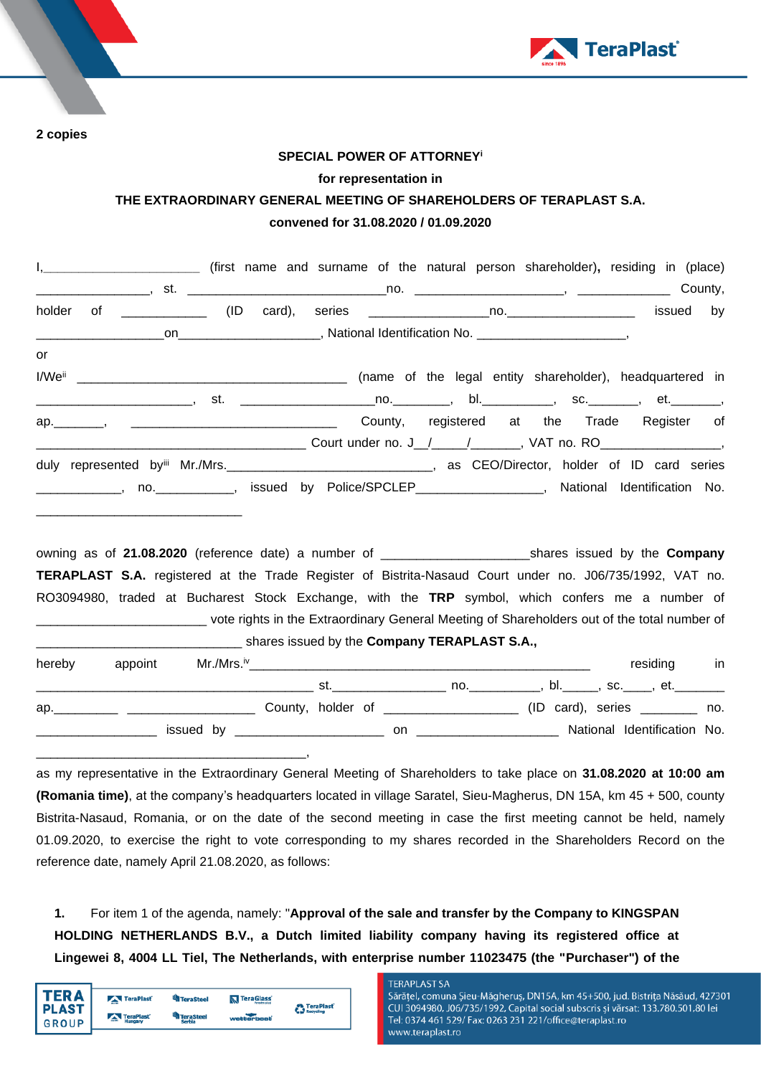

**2 copies**

## **SPECIAL POWER OF ATTORNEY<sup>i</sup>**

## **for representation in**

# **THE EXTRAORDINARY GENERAL MEETING OF SHAREHOLDERS OF TERAPLAST S.A. convened for 31.08.2020 / 01.09.2020**

|    | I, ____________________________ (first name and surname of the natural person shareholder), residing in (place)      |  |  |                                                          |                               |  |           |
|----|----------------------------------------------------------------------------------------------------------------------|--|--|----------------------------------------------------------|-------------------------------|--|-----------|
|    |                                                                                                                      |  |  |                                                          |                               |  |           |
|    |                                                                                                                      |  |  |                                                          |                               |  | issued by |
|    |                                                                                                                      |  |  |                                                          |                               |  |           |
| or |                                                                                                                      |  |  |                                                          |                               |  |           |
|    |                                                                                                                      |  |  | (name of the legal entity shareholder), headquartered in |                               |  |           |
|    | __________________________, st.  ___________________________________, bl.______________, sc.__________, et._________ |  |  |                                                          |                               |  |           |
|    |                                                                                                                      |  |  |                                                          |                               |  |           |
|    |                                                                                                                      |  |  |                                                          |                               |  |           |
|    | duly represented by Mr./Mrs. CEO/Director, holder of ID card series                                                  |  |  |                                                          |                               |  |           |
|    | _____________, no.____________, issued by Police/SPCLEP__________________, National Identification No.               |  |  |                                                          |                               |  |           |
|    |                                                                                                                      |  |  |                                                          |                               |  |           |
|    |                                                                                                                      |  |  |                                                          |                               |  |           |
|    | owning as of 21.08.2020 (reference data) a number of                                                                 |  |  |                                                          | charge iccupal by the Company |  |           |

owning as of **21.08.2020** (reference date) a number of \_\_\_\_\_\_\_\_\_\_\_\_\_\_\_\_\_\_\_\_\_shares issued by the **Company TERAPLAST S.A.** registered at the Trade Register of Bistrita-Nasaud Court under no. J06/735/1992, VAT no. RO3094980, traded at Bucharest Stock Exchange, with the **TRP** symbol, which confers me a number of \_\_\_\_\_\_\_\_\_\_\_\_\_\_\_\_\_\_\_\_\_\_\_\_ vote rights in the Extraordinary General Meeting of Shareholders out of the total number of shares issued by the **Company TERAPLAST S.A.,** 

| hereby |  |  |                                                                                                                                                                                                                                |                                       |  | residing                                                                                                        | in |
|--------|--|--|--------------------------------------------------------------------------------------------------------------------------------------------------------------------------------------------------------------------------------|---------------------------------------|--|-----------------------------------------------------------------------------------------------------------------|----|
|        |  |  | st. In the second control of the second second control of the second second control of the second second second second second second second second second second second second second second second second second second secon |                                       |  | no., hl., sc., et., community basic security of the model of the second security of the model of the model of t |    |
|        |  |  |                                                                                                                                                                                                                                | County, holder of ___________________ |  | $(ID \ card), \ series \t\t m$ no.                                                                              |    |
|        |  |  | on                                                                                                                                                                                                                             |                                       |  | National Identification No.                                                                                     |    |
|        |  |  |                                                                                                                                                                                                                                |                                       |  |                                                                                                                 |    |

as my representative in the Extraordinary General Meeting of Shareholders to take place on **31.08.2020 at 10:00 am (Romania time)**, at the company's headquarters located in village Saratel, Sieu-Magherus, DN 15A, km 45 + 500, county Bistrita-Nasaud, Romania, or on the date of the second meeting in case the first meeting cannot be held, namely 01.09.2020, to exercise the right to vote corresponding to my shares recorded in the Shareholders Record on the reference date, namely April 21.08.2020, as follows:

**1.** For item 1 of the agenda, namely: "**Approval of the sale and transfer by the Company to KINGSPAN HOLDING NETHERLANDS B.V., a Dutch limited liability company having its registered office at Lingewei 8, 4004 LL Tiel, The Netherlands, with enterprise number 11023475 (the "Purchaser") of the** 

| TER A          | TeraPlast | <b>TeraSteel</b>           | <b>N</b> TeraGlass | TeraPlast®          |
|----------------|-----------|----------------------------|--------------------|---------------------|
| PLAST<br>GROUP | TeraPlast | <b>TeraSteel</b><br>Serbia | <b>watterbeat</b>  | <b>Ca</b> Recycling |
|                |           |                            |                    |                     |

## **TERAPLAST SA**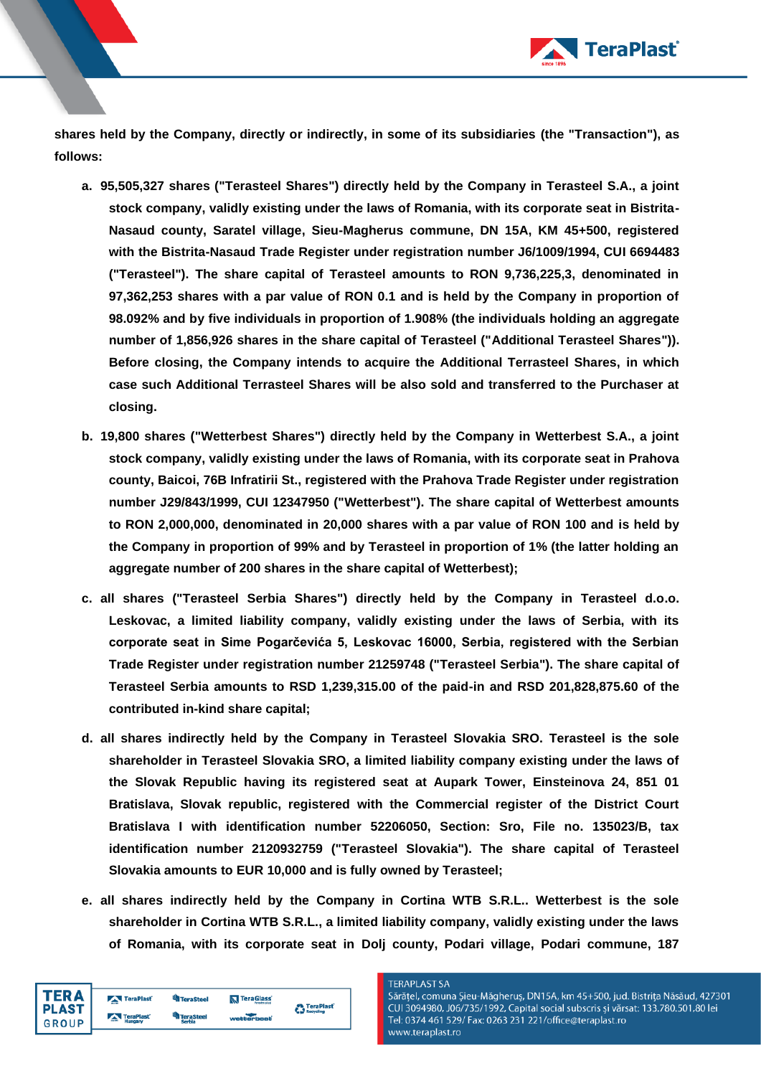

**shares held by the Company, directly or indirectly, in some of its subsidiaries (the "Transaction"), as follows:**

- **a. 95,505,327 shares ("Terasteel Shares") directly held by the Company in Terasteel S.A., a joint stock company, validly existing under the laws of Romania, with its corporate seat in Bistrita-Nasaud county, Saratel village, Sieu-Magherus commune, DN 15A, KM 45+500, registered with the Bistrita-Nasaud Trade Register under registration number J6/1009/1994, CUI 6694483 ("Terasteel"). The share capital of Terasteel amounts to RON 9,736,225,3, denominated in 97,362,253 shares with a par value of RON 0.1 and is held by the Company in proportion of 98.092% and by five individuals in proportion of 1.908% (the individuals holding an aggregate number of 1,856,926 shares in the share capital of Terasteel ("Additional Terasteel Shares")). Before closing, the Company intends to acquire the Additional Terrasteel Shares, in which case such Additional Terrasteel Shares will be also sold and transferred to the Purchaser at closing.**
- **b. 19,800 shares ("Wetterbest Shares") directly held by the Company in Wetterbest S.A., a joint stock company, validly existing under the laws of Romania, with its corporate seat in Prahova county, Baicoi, 76B Infratirii St., registered with the Prahova Trade Register under registration number J29/843/1999, CUI 12347950 ("Wetterbest"). The share capital of Wetterbest amounts to RON 2,000,000, denominated in 20,000 shares with a par value of RON 100 and is held by the Company in proportion of 99% and by Terasteel in proportion of 1% (the latter holding an aggregate number of 200 shares in the share capital of Wetterbest);**
- **c. all shares ("Terasteel Serbia Shares") directly held by the Company in Terasteel d.o.o. Leskovac, a limited liability company, validly existing under the laws of Serbia, with its corporate seat in Sime Pogarčevića 5, Leskovac 16000, Serbia, registered with the Serbian Trade Register under registration number 21259748 ("Terasteel Serbia"). The share capital of Terasteel Serbia amounts to RSD 1,239,315.00 of the paid-in and RSD 201,828,875.60 of the contributed in-kind share capital;**
- **d. all shares indirectly held by the Company in Terasteel Slovakia SRO. Terasteel is the sole shareholder in Terasteel Slovakia SRO, a limited liability company existing under the laws of the Slovak Republic having its registered seat at Aupark Tower, Einsteinova 24, 851 01 Bratislava, Slovak republic, registered with the Commercial register of the District Court Bratislava I with identification number 52206050, Section: Sro, File no. 135023/B, tax identification number 2120932759 ("Terasteel Slovakia"). The share capital of Terasteel Slovakia amounts to EUR 10,000 and is fully owned by Terasteel;**
- **e. all shares indirectly held by the Company in Cortina WTB S.R.L.. Wetterbest is the sole shareholder in Cortina WTB S.R.L., a limited liability company, validly existing under the laws of Romania, with its corporate seat in Dolj county, Podari village, Podari commune, 187**

| <b>TERA</b>  | TeraPlast | <b>TeraSteel</b>   | TeraGlass         | <b>A</b> TeraPlast |
|--------------|-----------|--------------------|-------------------|--------------------|
| <b>PLAST</b> | TeraPlast | eraSteel<br>Serbia | <b>watterbast</b> | <b>Recycling</b>   |
| <b>GROUP</b> |           |                    |                   |                    |

#### **TERAPLAST SA**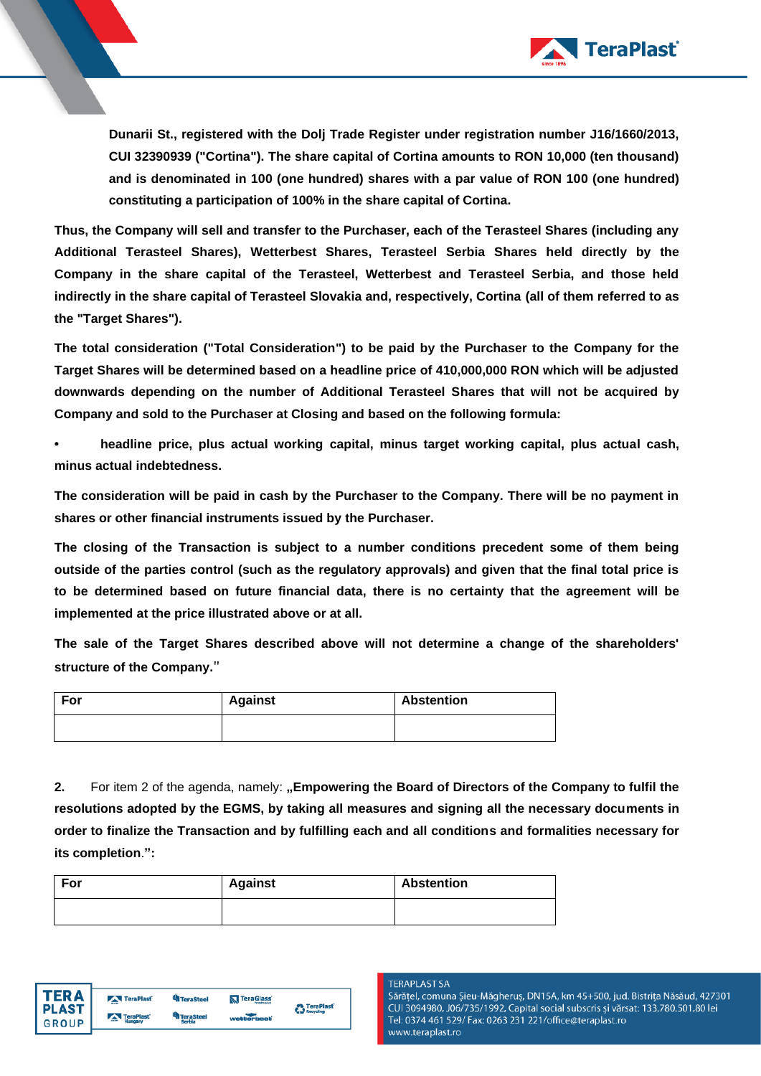

**Dunarii St., registered with the Dolj Trade Register under registration number J16/1660/2013, CUI 32390939 ("Cortina"). The share capital of Cortina amounts to RON 10,000 (ten thousand) and is denominated in 100 (one hundred) shares with a par value of RON 100 (one hundred) constituting a participation of 100% in the share capital of Cortina.**

**Thus, the Company will sell and transfer to the Purchaser, each of the Terasteel Shares (including any Additional Terasteel Shares), Wetterbest Shares, Terasteel Serbia Shares held directly by the Company in the share capital of the Terasteel, Wetterbest and Terasteel Serbia, and those held indirectly in the share capital of Terasteel Slovakia and, respectively, Cortina (all of them referred to as the "Target Shares").**

**The total consideration ("Total Consideration") to be paid by the Purchaser to the Company for the Target Shares will be determined based on a headline price of 410,000,000 RON which will be adjusted downwards depending on the number of Additional Terasteel Shares that will not be acquired by Company and sold to the Purchaser at Closing and based on the following formula:**

**• headline price, plus actual working capital, minus target working capital, plus actual cash, minus actual indebtedness.**

**The consideration will be paid in cash by the Purchaser to the Company. There will be no payment in shares or other financial instruments issued by the Purchaser.**

**The closing of the Transaction is subject to a number conditions precedent some of them being outside of the parties control (such as the regulatory approvals) and given that the final total price is to be determined based on future financial data, there is no certainty that the agreement will be implemented at the price illustrated above or at all.**

**The sale of the Target Shares described above will not determine a change of the shareholders' structure of the Company.**"

| For | <b>Against</b> | <b>Abstention</b> |
|-----|----------------|-------------------|
|     |                |                   |

**2.** For item 2 of the agenda, namely: "Empowering the Board of Directors of the Company to fulfil the **resolutions adopted by the EGMS, by taking all measures and signing all the necessary documents in order to finalize the Transaction and by fulfilling each and all conditions and formalities necessary for its completion**.**":**

| For | <b>Against</b> | <b>Abstention</b> |
|-----|----------------|-------------------|
|     |                |                   |



## **TERAPLAST SA**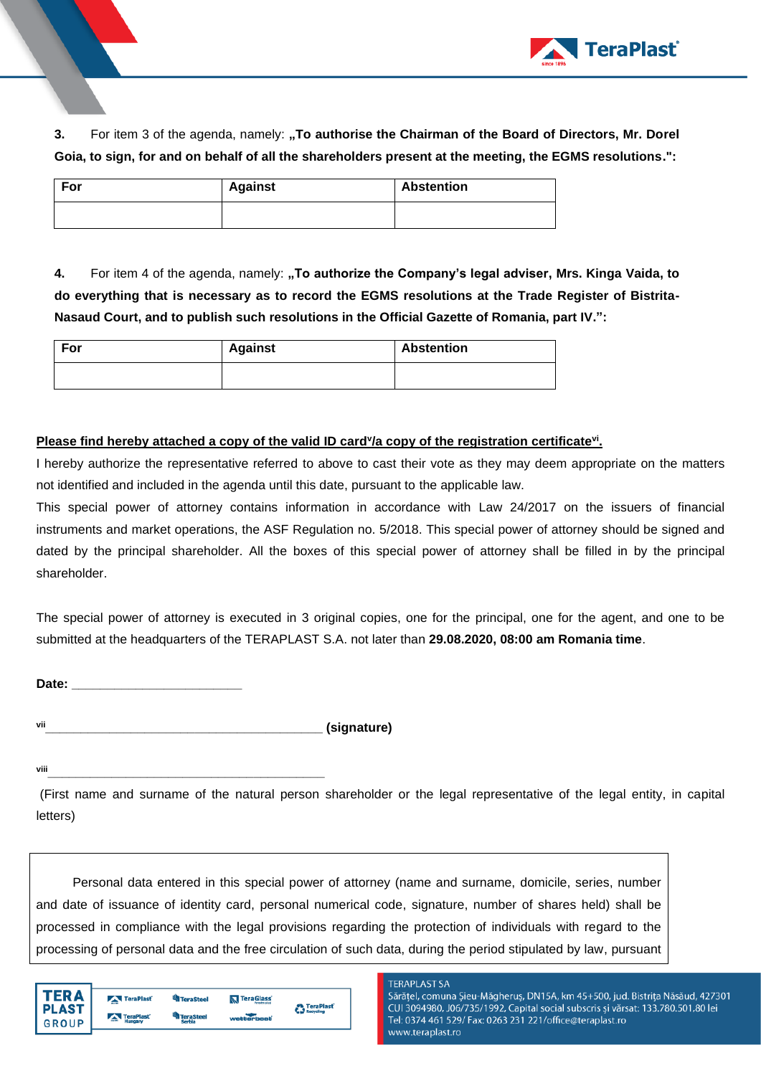

**3.** For item 3 of the agenda, namely: "To authorise the Chairman of the Board of Directors, Mr. Dorel **Goia, to sign, for and on behalf of all the shareholders present at the meeting, the EGMS resolutions.":**

| For | <b>Against</b> | <b>Abstention</b> |
|-----|----------------|-------------------|
|     |                |                   |

**4.** For item 4 of the agenda, namely: **"To authorize the Company's legal adviser, Mrs. Kinga Vaida, to do everything that is necessary as to record the EGMS resolutions at the Trade Register of Bistrita-Nasaud Court, and to publish such resolutions in the Official Gazette of Romania, part IV.":**

| For | <b>Against</b> | Abstention |
|-----|----------------|------------|
|     |                |            |

# **Please find hereby attached a copy of the valid ID card<sup>y</sup>/a copy of the registration certificate<sup>vi</sup>.**

I hereby authorize the representative referred to above to cast their vote as they may deem appropriate on the matters not identified and included in the agenda until this date, pursuant to the applicable law.

This special power of attorney contains information in accordance with Law 24/2017 on the issuers of financial instruments and market operations, the ASF Regulation no. 5/2018. This special power of attorney should be signed and dated by the principal shareholder. All the boxes of this special power of attorney shall be filled in by the principal shareholder.

The special power of attorney is executed in 3 original copies, one for the principal, one for the agent, and one to be submitted at the headquarters of the TERAPLAST S.A. not later than **29.08.2020, 08:00 am Romania time**.

**Date: \_\_\_\_\_\_\_\_\_\_\_\_\_\_\_\_\_\_\_\_\_\_\_\_**

**vii\_\_\_\_\_\_\_\_\_\_\_\_\_\_\_\_\_\_\_\_\_\_\_\_\_\_\_\_\_\_\_\_\_\_\_\_\_\_\_ (signature)**

**viii\_\_\_\_\_\_\_\_\_\_\_\_\_\_\_\_\_\_\_\_\_\_\_\_\_\_\_\_\_\_\_\_\_\_\_\_\_\_\_**

(First name and surname of the natural person shareholder or the legal representative of the legal entity, in capital letters)

Personal data entered in this special power of attorney (name and surname, domicile, series, number and date of issuance of identity card, personal numerical code, signature, number of shares held) shall be processed in compliance with the legal provisions regarding the protection of individuals with regard to the processing of personal data and the free circulation of such data, during the period stipulated by law, pursuant

| ED A                         | TeraPlast                          | <b>TeraSteel</b>           | TeraGlass  | <b>A</b> TeraPlast |
|------------------------------|------------------------------------|----------------------------|------------|--------------------|
| <b>PLAST</b><br><b>GROUP</b> | <b>TeraPlast</b><br><b>Hungary</b> | <b>feraSteel</b><br>Serbia | wetterbeat | <b>Recycling</b>   |
|                              |                                    |                            |            |                    |

## **TERAPLAST SA**